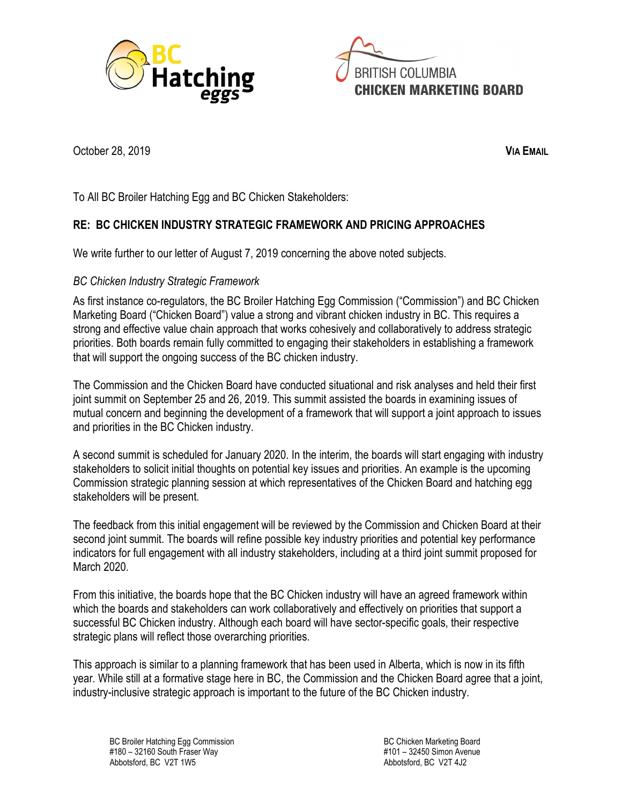



October 28, 2019 **VIA EMAIL**

To All BC Broiler Hatching Egg and BC Chicken Stakeholders:

## **RE: BC CHICKEN INDUSTRY STRATEGIC FRAMEWORK AND PRICING APPROACHES**

We write further to our letter of August 7, 2019 concerning the above noted subjects.

## *BC Chicken Industry Strategic Framework*

As first instance co-regulators, the BC Broiler Hatching Egg Commission ("Commission") and BC Chicken Marketing Board ("Chicken Board") value a strong and vibrant chicken industry in BC. This requires a strong and effective value chain approach that works cohesively and collaboratively to address strategic priorities. Both boards remain fully committed to engaging their stakeholders in establishing a framework that will support the ongoing success of the BC chicken industry.

The Commission and the Chicken Board have conducted situational and risk analyses and held their first joint summit on September 25 and 26, 2019. This summit assisted the boards in examining issues of mutual concern and beginning the development of a framework that will support a joint approach to issues and priorities in the BC Chicken industry.

A second summit is scheduled for January 2020. In the interim, the boards will start engaging with industry stakeholders to solicit initial thoughts on potential key issues and priorities. An example is the upcoming Commission strategic planning session at which representatives of the Chicken Board and hatching egg stakeholders will be present.

The feedback from this initial engagement will be reviewed by the Commission and Chicken Board at their second joint summit. The boards will refine possible key industry priorities and potential key performance indicators for full engagement with all industry stakeholders, including at a third joint summit proposed for March 2020.

From this initiative, the boards hope that the BC Chicken industry will have an agreed framework within which the boards and stakeholders can work collaboratively and effectively on priorities that support a successful BC Chicken industry. Although each board will have sector-specific goals, their respective strategic plans will reflect those overarching priorities.

This approach is similar to a planning framework that has been used in Alberta, which is now in its fifth year. While still at a formative stage here in BC, the Commission and the Chicken Board agree that a joint, industry-inclusive strategic approach is important to the future of the BC Chicken industry.